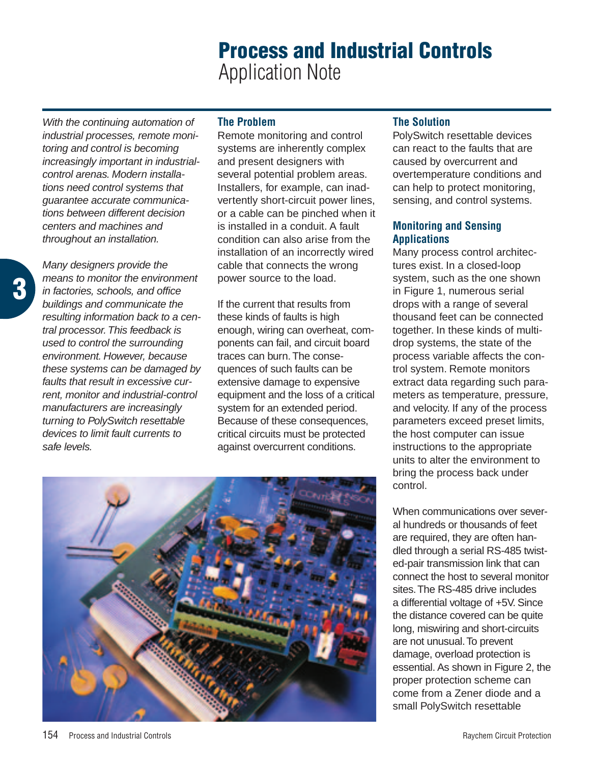# **Process and Industrial Controls** Application Note

With the continuing automation of industrial processes, remote monitoring and control is becoming increasingly important in industrialcontrol arenas. Modern installations need control systems that guarantee accurate communications between different decision centers and machines and throughout an installation.

Many designers provide the means to monitor the environment in factories, schools, and office buildings and communicate the resulting information back to a central processor.This feedback is used to control the surrounding environment. However, because these systems can be damaged by faults that result in excessive current, monitor and industrial-control manufacturers are increasingly turning to PolySwitch resettable devices to limit fault currents to safe levels.

# **The Problem**

Remote monitoring and control systems are inherently complex and present designers with several potential problem areas. Installers, for example, can inadvertently short-circuit power lines, or a cable can be pinched when it is installed in a conduit. A fault condition can also arise from the installation of an incorrectly wired cable that connects the wrong power source to the load.

If the current that results from these kinds of faults is high enough, wiring can overheat, components can fail, and circuit board traces can burn.The consequences of such faults can be extensive damage to expensive equipment and the loss of a critical system for an extended period. Because of these consequences, critical circuits must be protected against overcurrent conditions.



# **The Solution**

PolySwitch resettable devices can react to the faults that are caused by overcurrent and overtemperature conditions and can help to protect monitoring, sensing, and control systems.

## **Monitoring and Sensing Applications**

Many process control architectures exist. In a closed-loop system, such as the one shown in Figure 1, numerous serial drops with a range of several thousand feet can be connected together. In these kinds of multidrop systems, the state of the process variable affects the control system. Remote monitors extract data regarding such parameters as temperature, pressure, and velocity. If any of the process parameters exceed preset limits, the host computer can issue instructions to the appropriate units to alter the environment to bring the process back under control.

When communications over several hundreds or thousands of feet are required, they are often handled through a serial RS-485 twisted-pair transmission link that can connect the host to several monitor sites.The RS-485 drive includes a differential voltage of +5V. Since the distance covered can be quite long, miswiring and short-circuits are not unusual.To prevent damage, overload protection is essential. As shown in Figure 2, the proper protection scheme can come from a Zener diode and a small PolySwitch resettable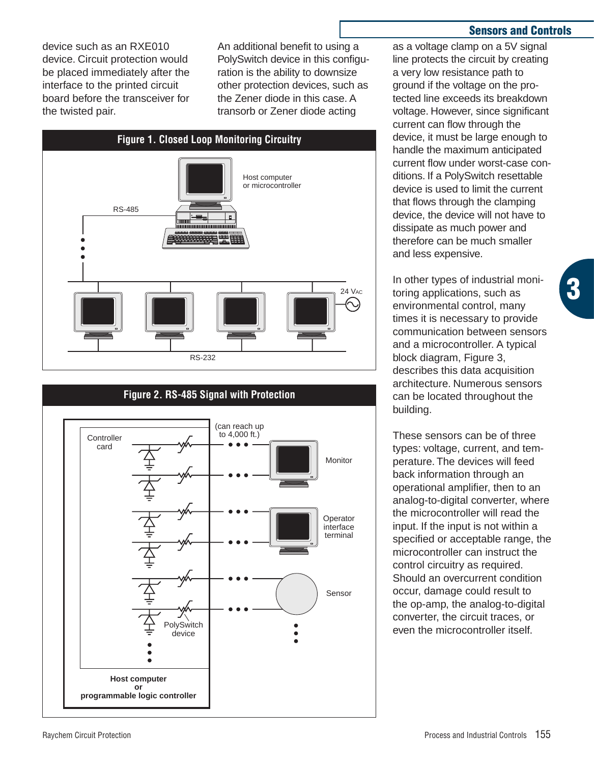device such as an RXE010 device. Circuit protection would be placed immediately after the interface to the printed circuit board before the transceiver for the twisted pair.

An additional benefit to using a PolySwitch device in this configuration is the ability to downsize other protection devices, such as the Zener diode in this case. A transorb or Zener diode acting





#### **Sensors and Controls**

**3**

as a voltage clamp on a 5V signal line protects the circuit by creating a very low resistance path to ground if the voltage on the protected line exceeds its breakdown voltage. However, since significant current can flow through the device, it must be large enough to handle the maximum anticipated current flow under worst-case conditions. If a PolySwitch resettable device is used to limit the current that flows through the clamping device, the device will not have to dissipate as much power and therefore can be much smaller and less expensive.

In other types of industrial monitoring applications, such as environmental control, many times it is necessary to provide communication between sensors and a microcontroller. A typical block diagram, Figure 3, describes this data acquisition architecture. Numerous sensors can be located throughout the building.

These sensors can be of three types: voltage, current, and temperature. The devices will feed back information through an operational amplifier, then to an analog-to-digital converter, where the microcontroller will read the input. If the input is not within a specified or acceptable range, the microcontroller can instruct the control circuitry as required. Should an overcurrent condition occur, damage could result to the op-amp, the analog-to-digital converter, the circuit traces, or even the microcontroller itself.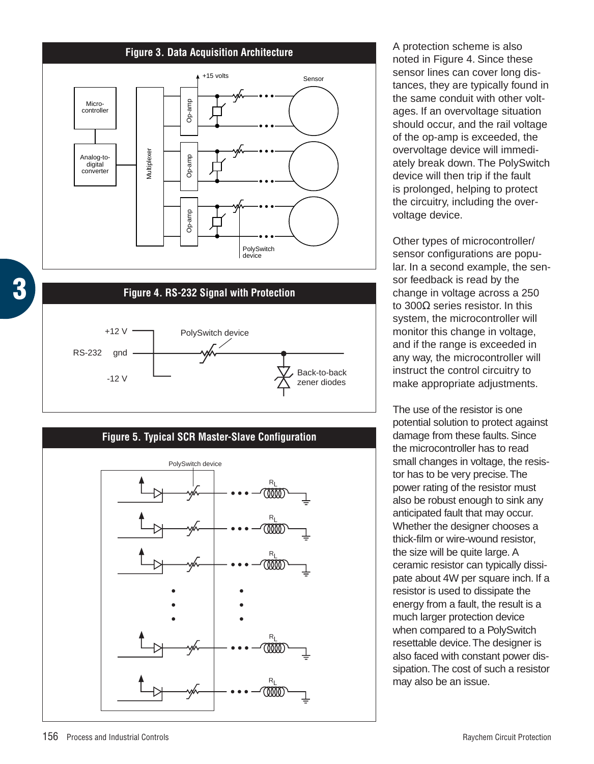





A protection scheme is also noted in Figure 4. Since these sensor lines can cover long distances, they are typically found in the same conduit with other voltages. If an overvoltage situation should occur, and the rail voltage of the op-amp is exceeded, the overvoltage device will immediately break down. The PolySwitch device will then trip if the fault is prolonged, helping to protect the circuitry, including the overvoltage device.

Other types of microcontroller/ sensor configurations are popular. In a second example, the sensor feedback is read by the change in voltage across a 250 to 300Ω series resistor. In this system, the microcontroller will monitor this change in voltage, and if the range is exceeded in any way, the microcontroller will instruct the control circuitry to make appropriate adjustments.

The use of the resistor is one potential solution to protect against damage from these faults. Since the microcontroller has to read small changes in voltage, the resistor has to be very precise.The power rating of the resistor must also be robust enough to sink any anticipated fault that may occur. Whether the designer chooses a thick-film or wire-wound resistor, the size will be quite large. A ceramic resistor can typically dissipate about 4W per square inch. If a resistor is used to dissipate the energy from a fault, the result is a much larger protection device when compared to a PolySwitch resettable device.The designer is also faced with constant power dissipation.The cost of such a resistor may also be an issue.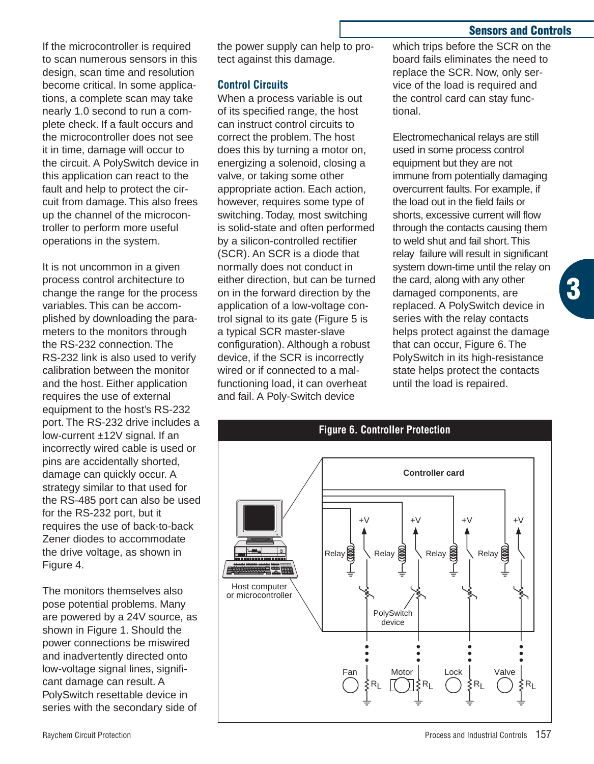#### **Sensors and Controls**

**3**

If the microcontroller is required to scan numerous sensors in this design, scan time and resolution become critical. In some applications, a complete scan may take nearly 1.0 second to run a complete check. If a fault occurs and the microcontroller does not see it in time, damage will occur to the circuit. A PolySwitch device in this application can react to the fault and help to protect the circuit from damage. This also frees up the channel of the microcontroller to perform more useful operations in the system.

It is not uncommon in a given process control architecture to change the range for the process variables. This can be accomplished by downloading the parameters to the monitors through the RS-232 connection. The RS-232 link is also used to verify calibration between the monitor and the host. Either application requires the use of external equipment to the host's RS-232 port. The RS-232 drive includes a low-current ±12V signal. If an incorrectly wired cable is used or pins are accidentally shorted, damage can quickly occur. A strategy similar to that used for the RS-485 port can also be used for the RS-232 port, but it requires the use of back-to-back Zener diodes to accommodate the drive voltage, as shown in Figure 4.

The monitors themselves also pose potential problems. Many are powered by a 24V source, as shown in Figure 1. Should the power connections be miswired and inadvertently directed onto low-voltage signal lines, significant damage can result. A PolySwitch resettable device in series with the secondary side of

the power supply can help to protect against this damage.

## **Control Circuits**

When a process variable is out of its specified range, the host can instruct control circuits to correct the problem. The host does this by turning a motor on, energizing a solenoid, closing a valve, or taking some other appropriate action. Each action, however, requires some type of switching. Today, most switching is solid-state and often performed by a silicon-controlled rectifier (SCR). An SCR is a diode that normally does not conduct in either direction, but can be turned on in the forward direction by the application of a low-voltage control signal to its gate (Figure 5 is a typical SCR master-slave configuration). Although a robust device, if the SCR is incorrectly wired or if connected to a malfunctioning load, it can overheat and fail. A Poly-Switch device

which trips before the SCR on the board fails eliminates the need to replace the SCR. Now, only service of the load is required and the control card can stay functional.

Electromechanical relays are still used in some process control equipment but they are not immune from potentially damaging overcurrent faults. For example, if the load out in the field fails or shorts, excessive current will flow through the contacts causing them to weld shut and fail short.This relay failure will result in significant system down-time until the relay on the card, along with any other damaged components, are replaced. A PolySwitch device in series with the relay contacts helps protect against the damage that can occur, Figure 6. The PolySwitch in its high-resistance state helps protect the contacts until the load is repaired.